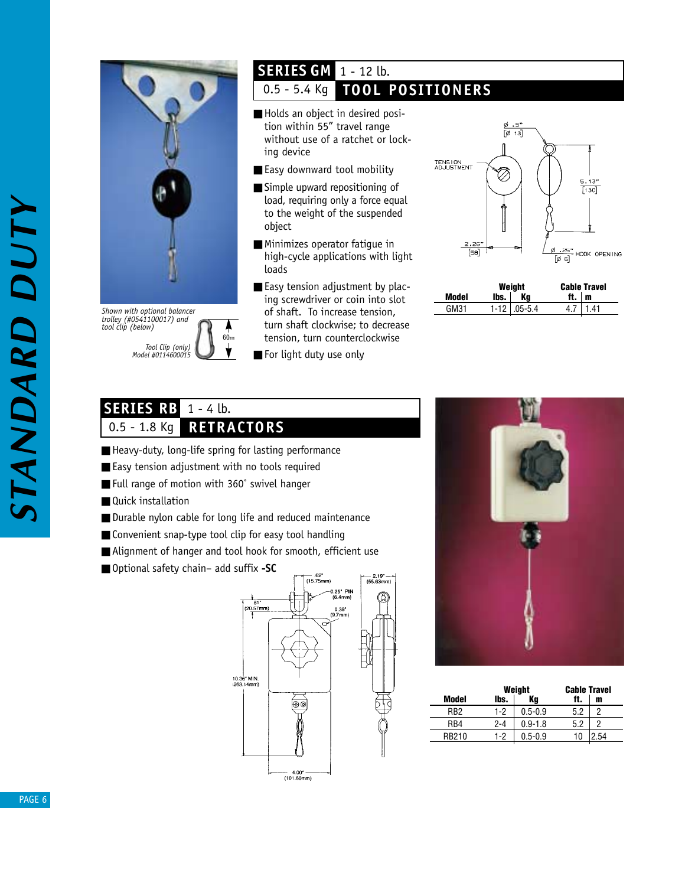

*Tool Clip (only) Model #0114600015* 60mm *Shown with optional balancer trolley (#0541100017) and tool clip (below)*

## 1 - 12 lb. **SERIES GM**

# 0.5 - 5.4 Kg **TOOL POSITIONERS**

- Holds an object in desired position within 55" travel range without use of a ratchet or locking device
- Easy downward tool mobility
- Simple upward repositioning of load, requiring only a force equal to the weight of the suspended object
- Minimizes operator fatigue in high-cycle applications with light loads
- Easy tension adjustment by placing screwdriver or coin into slot of shaft. To increase tension, turn shaft clockwise; to decrease tension, turn counterclockwise
- For light duty use only



|       | Weight |                     | <b>Cable Travel</b> |     |
|-------|--------|---------------------|---------------------|-----|
| Model | lbs.   | Kα                  | ft.                 | m   |
| GM31  |        | $1 - 12$ $05 - 5.4$ |                     | 141 |

#### 1 - 4 lb.  $0.5 - 1.8$  Kg **RETRACTORS SERIES RB**

- Heavy-duty, long-life spring for lasting performance
- Easy tension adjustment with no tools required
- Full range of motion with 360° swivel hanger
- Quick installation
- Durable nylon cable for long life and reduced maintenance
- Convenient snap-type tool clip for easy tool handling
- Alignment of hanger and tool hook for smooth, efficient use
- Optional safety chain- add suffix **-SC**





|                  | Weight  |             | <b>Cable Travel</b> |     |  |
|------------------|---------|-------------|---------------------|-----|--|
| Model            | lbs.    | Κa          | ft.                 | m   |  |
| RR <sub>2</sub>  | 1-2     | $0.5 - 0.9$ | 5.2                 |     |  |
| R <sub>R</sub> 4 | $2 - 4$ | $0.9 - 1.8$ | 5.2                 |     |  |
| RR210            | 1-2     | $0.5 - 0.9$ | 10                  | -54 |  |
|                  |         |             |                     |     |  |